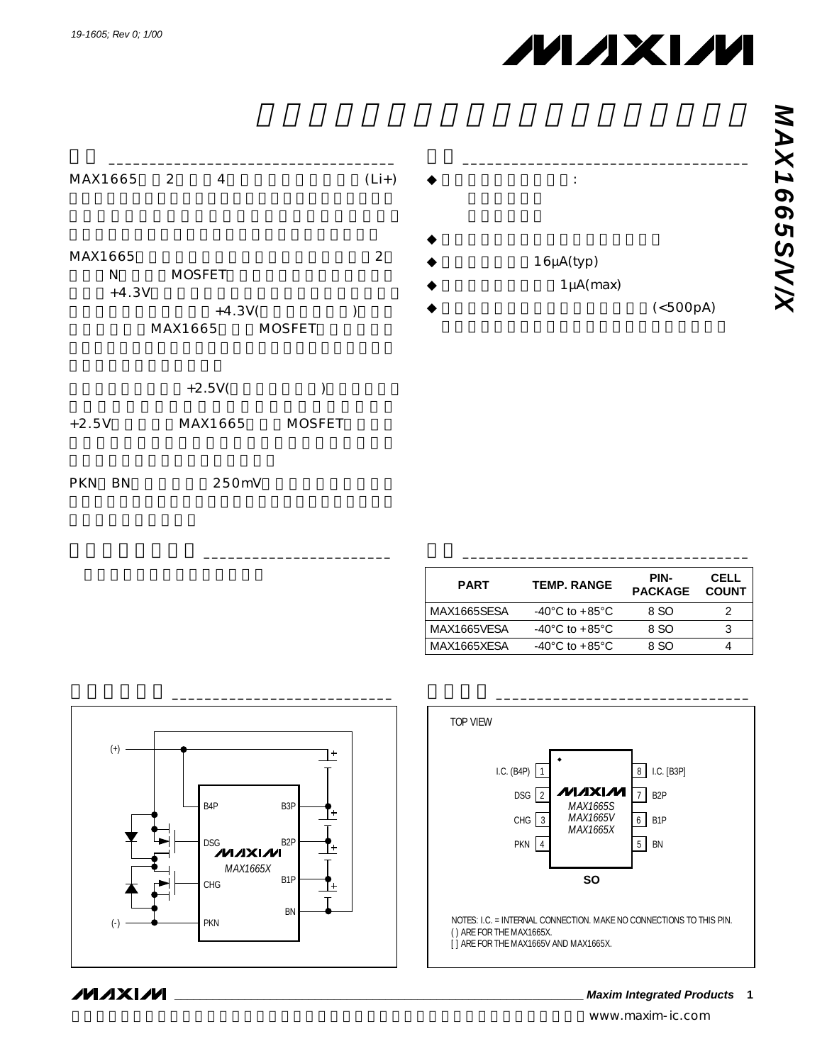# **MAXIM**





| $+2.5V$ | MAX1665 | MOSFET |  |
|---------|---------|--------|--|

 $\overline{\phantom{a}}$  , which is a set of the set of the set of the set of the set of the set of the set of the set of the set of the set of the set of the set of the set of the set of the set of the set of the set of the set of th

PKN BN 250mV

| <b>PART</b> | <b>TEMP. RANGE</b>                 | PIN-<br><b>PACKAGE</b> | CELL<br><b>COUNT</b> |
|-------------|------------------------------------|------------------------|----------------------|
| MAX1665SFSA | $-40^{\circ}$ C to $+85^{\circ}$ C | 8 SO                   |                      |
| MAX1665VFSA | $-40^{\circ}$ C to $+85^{\circ}$ C | 8.SO                   |                      |
| MAX1665XFSA | $-40^{\circ}$ C to $+85^{\circ}$ C | 8 S.O                  |                      |

 $16\mu$ A(typ)

 $1 \mu A$ (max)

(<500pA)



**MAXIM** 

## **\_\_\_\_\_\_\_\_\_\_\_\_\_\_\_\_\_\_\_\_\_\_\_\_\_\_\_\_\_\_\_\_\_\_\_\_\_\_\_\_\_\_\_\_\_\_\_\_\_\_\_\_\_\_\_\_\_\_\_\_\_\_\_\_ Maxim Integrated Products 1**

www.maxim-ic.com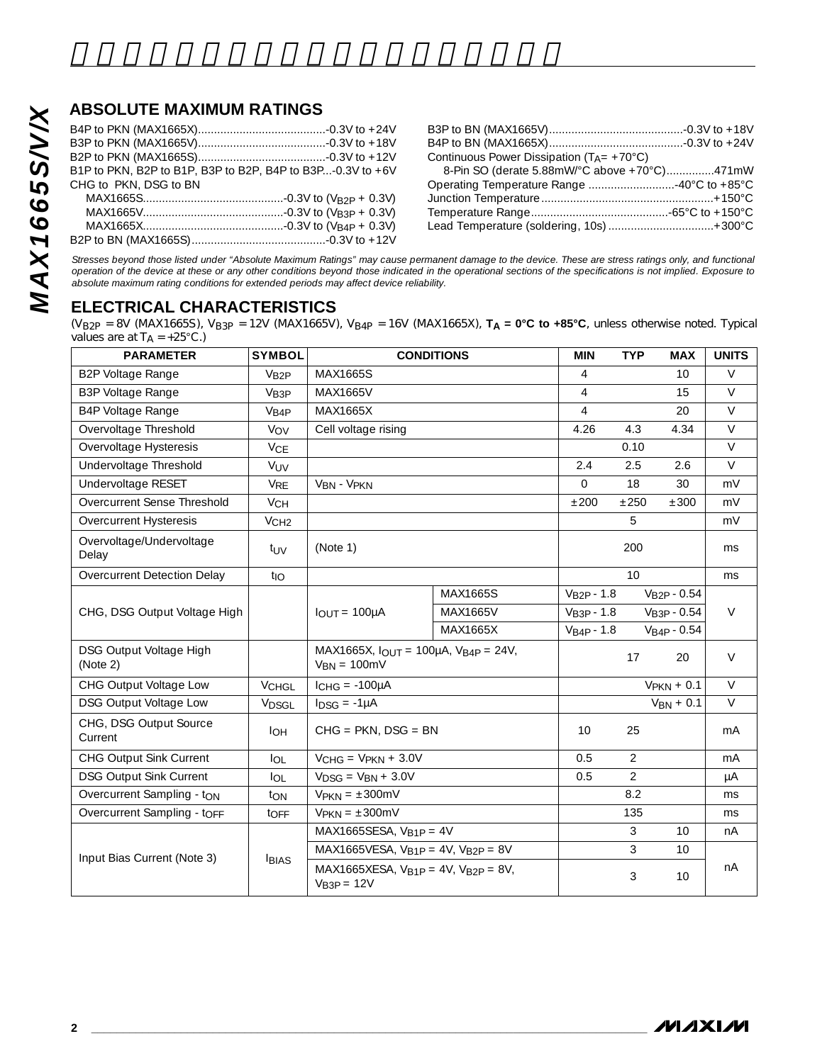#### **ABSOLUTE MAXIMUM RATINGS**

|                                                            | B3P to BN (MAX1665V)         |
|------------------------------------------------------------|------------------------------|
|                                                            | B4P to BN (MAX1665X)         |
|                                                            | Continuous Power Dissipation |
| B1P to PKN, B2P to B1P, B3P to B2P, B4P to B3P-0.3V to +6V | 8-Pin SO (derate 5.88mV      |
|                                                            | Operating Temperature Rar    |
|                                                            | Junction Temperature         |
|                                                            | Temperature Range            |
|                                                            | Lead Temperature (solderin   |
|                                                            |                              |
|                                                            |                              |

| Continuous Power Dissipation $(T_A = +70^{\circ}C)$ |  |
|-----------------------------------------------------|--|
| 8-Pin SO (derate 5.88mW/°C above +70°C)471mW        |  |
| Operating Temperature Range 40°C to +85°C           |  |
|                                                     |  |
|                                                     |  |
| Lead Temperature (soldering, 10s) +300°C            |  |
|                                                     |  |

*Stresses beyond those listed under "Absolute Maximum Ratings" may cause permanent damage to the device. These are stress ratings only, and functional operation of the device at these or any other conditions beyond those indicated in the operational sections of the specifications is not implied. Exposure to absolute maximum rating conditions for extended periods may affect device reliability.*

#### **ELECTRICAL CHARACTERISTICS**

(VB2P = 8V (MAX1665S), VB3P = 12V (MAX1665V), VB4P = 16V (MAX1665X), **TA = 0°C to +85°C**, unless otherwise noted. Typical values are  $a \overline{t} T_A = +25^{\circ} C$ .)

| <b>PARAMETER</b>                    | <b>SYMBOL</b>         |                                                                        | <b>CONDITIONS</b> | <b>MIN</b>          | <b>TYP</b>     | <b>MAX</b>       | <b>UNITS</b> |
|-------------------------------------|-----------------------|------------------------------------------------------------------------|-------------------|---------------------|----------------|------------------|--------------|
| <b>B2P Voltage Range</b>            | V <sub>B2P</sub>      | MAX1665S                                                               |                   | $\overline{4}$      |                | 10               | $\vee$       |
| <b>B3P Voltage Range</b>            | V <sub>B3P</sub>      | MAX1665V                                                               | 4                 |                     | 15             | $\vee$           |              |
| B4P Voltage Range                   | V <sub>B4P</sub>      | MAX1665X                                                               |                   | $\overline{4}$      |                | 20               | $\vee$       |
| Overvoltage Threshold               | VOV                   | Cell voltage rising                                                    |                   | 4.26                | 4.3            | 4.34             | $\vee$       |
| Overvoltage Hysteresis              | <b>V<sub>CE</sub></b> |                                                                        |                   |                     | 0.10           |                  | $\vee$       |
| Undervoltage Threshold              | <b>VUV</b>            |                                                                        |                   | 2.4                 | 2.5            | 2.6              | $\vee$       |
| Undervoltage RESET                  | <b>V<sub>RE</sub></b> | VBN - VPKN                                                             |                   | $\Omega$            | 18             | 30               | mV           |
| Overcurrent Sense Threshold         | <b>V<sub>CH</sub></b> |                                                                        |                   | ±200                | ±250           | ±300             | mV           |
| Overcurrent Hysteresis              | V <sub>CH2</sub>      |                                                                        |                   |                     | 5              |                  | mV           |
| Overvoltage/Undervoltage<br>Delay   | t <sub>UV</sub>       | (Note 1)                                                               |                   |                     | 200            |                  | ms           |
| Overcurrent Detection Delay         | $t_{\text{IO}}$       |                                                                        |                   |                     | 10             |                  | ms           |
|                                     |                       |                                                                        | MAX1665S          | $VB2P - 1.8$        |                | $VB2P - 0.54$    |              |
| CHG, DSG Output Voltage High        |                       | $I_{OUT} = 100\mu A$                                                   | MAX1665V          |                     | $VB3P - 1.8$   | $VB3P - 0.54$    | $\vee$       |
|                                     |                       |                                                                        | MAX1665X          | $V_{\rm B4P}$ - 1.8 |                | $V_{B4P} - 0.54$ |              |
| DSG Output Voltage High<br>(Note 2) |                       | MAX1665X, $I_{OUT} = 100\mu A$ , $V_{B4P} = 24V$ ,<br>$V_{BN} = 100mV$ |                   |                     | 17             | 20               | $\vee$       |
| CHG Output Voltage Low              | <b>VCHGL</b>          | $ICHG = -100\mu A$                                                     |                   |                     |                | $V_{PKN} + 0.1$  | $\vee$       |
| DSG Output Voltage Low              | V <sub>DSGL</sub>     | $I_{DSG} = -1\mu A$                                                    |                   |                     |                | $V_{BN} + 0.1$   | $\vee$       |
| CHG, DSG Output Source<br>Current   | <b>I</b> OH           | $CHG = PKN, DSG = BN$                                                  |                   | 10                  | 25             |                  | mA           |
| CHG Output Sink Current             | $I_{OL}$              | $VCHG = VPKN + 3.0V$                                                   |                   | 0.5                 | $\overline{2}$ |                  | mA           |
| <b>DSG Output Sink Current</b>      | $I_{OL}$              | $V_{DSG}$ = $V_{BN}$ + 3.0V                                            |                   | 0.5                 | $\overline{2}$ |                  | μA           |
| Overcurrent Sampling - ton          | ton                   | $V$ PKN = $\pm 300$ mV                                                 |                   |                     | 8.2            |                  | ms           |
| Overcurrent Sampling - toFF         | toff                  | $V$ PKN = $\pm 300$ mV                                                 |                   |                     | 135            |                  | ms           |
|                                     |                       | MAX1665SESA, $V_{B1P} = 4V$                                            |                   |                     | 3              | 10               | nA           |
| Input Bias Current (Note 3)         | <b>IBIAS</b>          | $MAX1665VESA, V_{B1P} = 4V, V_{B2P} = 8V$                              |                   |                     | 3              | 10               |              |
|                                     |                       | $MAX1665XESA, V_{B1P} = 4V, V_{B2P} = 8V,$<br>$VB3P = 12V$             |                   |                     | 3              | 10               | nA           |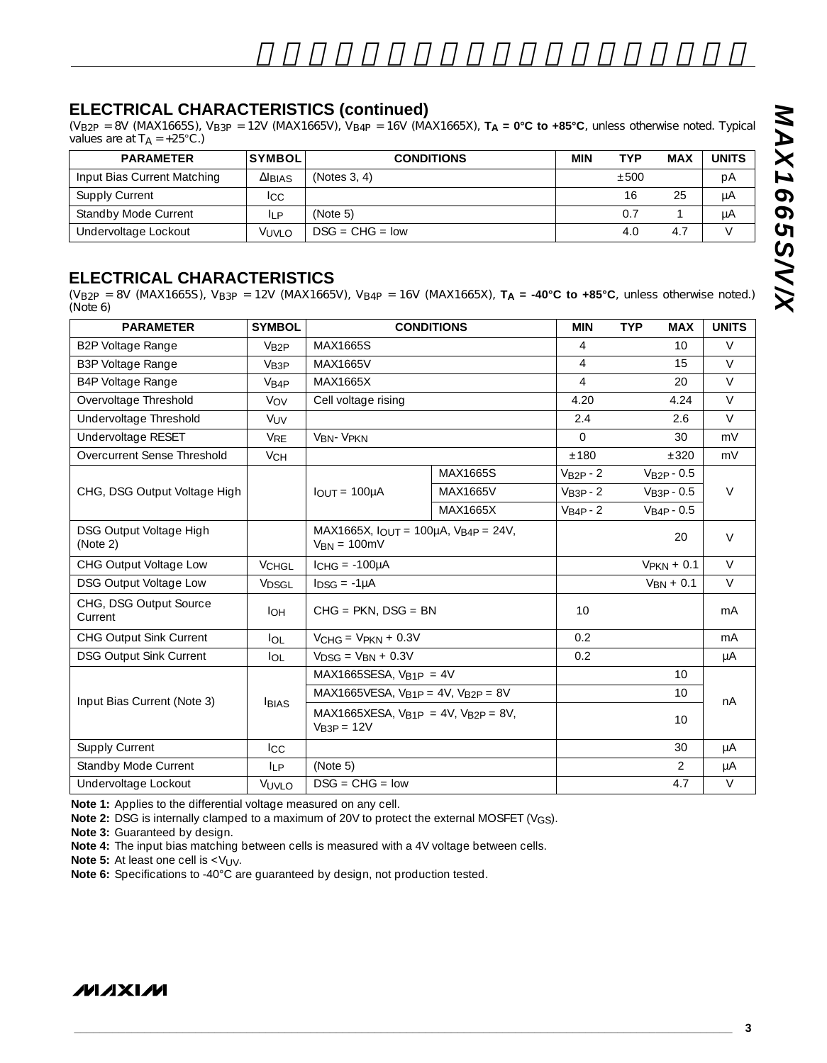#### **ELECTRICAL CHARACTERISTICS (continued)**

 $(V_{\text{B2P}} = 8V$  (MAX1665S),  $V_{\text{B3P}} = 12V$  (MAX1665V),  $V_{\text{B4P}} = 16V$  (MAX1665X),  $T_A = 0^{\circ}C$  to +85°C, unless otherwise noted. Typical values are at  $T_A = +25^{\circ}C$ .)

| <b>PARAMETER</b>            | <b>SYMBOL</b> | <b>CONDITIONS</b> | <b>MIN</b> | <b>TYP</b> | <b>MAX</b> | <b>UNITS</b> |
|-----------------------------|---------------|-------------------|------------|------------|------------|--------------|
| Input Bias Current Matching | $\Delta$ BIAS | (Notes 3, 4)      |            | $+500$     |            | рA           |
| <b>Supply Current</b>       | lcc           |                   |            |            | 25         | μA           |
| <b>Standby Mode Current</b> | li P          | (Note 5)          |            |            |            | μA           |
| Undervoltage Lockout        | Vuvi o        | $DSG = CHG = low$ |            | 4.0        | 4.7        |              |

#### **ELECTRICAL CHARACTERISTICS**

(VB2P = 8V (MAX1665S), VB3P = 12V (MAX1665V), VB4P = 16V (MAX1665X), **TA = -40°C to +85°C**, unless otherwise noted.) (Note 6)

| <b>PARAMETER</b>                    | <b>SYMBOL</b>               |                                                                        | <b>CONDITIONS</b> | <b>MIN</b> | <b>MAX</b><br><b>TYP</b> | <b>UNITS</b> |
|-------------------------------------|-----------------------------|------------------------------------------------------------------------|-------------------|------------|--------------------------|--------------|
| <b>B2P Voltage Range</b>            | V <sub>B2P</sub>            | MAX1665S                                                               |                   | 4          | 10                       | $\vee$       |
| <b>B3P Voltage Range</b>            | V <sub>B3P</sub>            | MAX1665V                                                               |                   | 4          | 15                       | $\vee$       |
| B4P Voltage Range                   | V <sub>B4P</sub>            | MAX1665X                                                               |                   | 4          | 20                       | $\vee$       |
| Overvoltage Threshold               | Vov                         | Cell voltage rising                                                    |                   | 4.20       | 4.24                     | $\vee$       |
| Undervoltage Threshold              | VUV                         |                                                                        |                   | 2.4        | 2.6                      | $\vee$       |
| Undervoltage RESET                  | <b>V<sub>RF</sub></b>       | <b>VBN- VPKN</b>                                                       |                   | $\Omega$   | 30                       | mV           |
| Overcurrent Sense Threshold         | VCH                         |                                                                        |                   | ±180       | ±320                     | mV           |
|                                     |                             |                                                                        | MAX1665S          | $VB2P - 2$ | $VB2P - 0.5$             |              |
| CHG, DSG Output Voltage High        |                             | $IOUT = 100\muA$                                                       | MAX1665V          | $VB3P - 2$ | $VB3P - 0.5$             | $\vee$       |
|                                     |                             |                                                                        | MAX1665X          | $VB4P - 2$ | $VB4P - 0.5$             |              |
| DSG Output Voltage High<br>(Note 2) |                             | MAX1665X, $I_{OUT} = 100\mu A$ , $V_{B4P} = 24V$ ,<br>$V_{BN} = 100mV$ |                   | 20         | $\vee$                   |              |
| CHG Output Voltage Low              | <b>VCHGL</b>                | $ICHG = -100\mu A$                                                     |                   |            | $V$ <sub>PKN</sub> + 0.1 | $\vee$       |
| DSG Output Voltage Low              | V <sub>DSGL</sub>           | $I_{DSG} = -1\mu A$                                                    |                   |            | $V_{BN} + 0.1$           | $\vee$       |
| CHG, DSG Output Source<br>Current   | $I_{OH}$                    | $CHG = PKN, DSG = BN$                                                  |                   | 10         |                          | mA           |
| CHG Output Sink Current             | loi                         | $VCHG = VPKN + 0.3V$                                                   |                   | 0.2        |                          | mA           |
| <b>DSG Output Sink Current</b>      | loi                         | $VDSG = VBN + 0.3V$                                                    |                   | 0.2        |                          | μA           |
|                                     |                             | $MAX1665SESA, VB1P = 4V$                                               |                   |            | 10 <sup>2</sup>          |              |
| Input Bias Current (Note 3)         | <b>IBIAS</b>                | $MAX1665VESA, V_{B1P} = 4V, V_{B2P} = 8V$                              |                   |            | 10                       | nA           |
|                                     |                             | $MAX1665XESA, V_{B1P} = 4V, V_{B2P} = 8V,$<br>$VB3P = 12V$             |                   |            | 10                       |              |
| <b>Supply Current</b>               | $I_{\rm CC}$                |                                                                        |                   |            | 30                       | μA           |
| Standby Mode Current                | $\mathsf{I}$   $\mathsf{P}$ | (Note 5)                                                               |                   |            | $\mathcal{L}$            | μA           |
| Undervoltage Lockout                | VUVLO                       | $DSG = CHG = low$                                                      |                   |            | 4.7                      | $\vee$       |

**Note 1:** Applies to the differential voltage measured on any cell.

**Note 2:** DSG is internally clamped to a maximum of 20V to protect the external MOSFET (V<sub>GS</sub>).

**Note 3:** Guaranteed by design.

**Note 4:** The input bias matching between cells is measured with a 4V voltage between cells.

**Note 5:** At least one cell is <VUV.

**Note 6:** Specifications to -40°C are guaranteed by design, not production tested.

**MAXIM**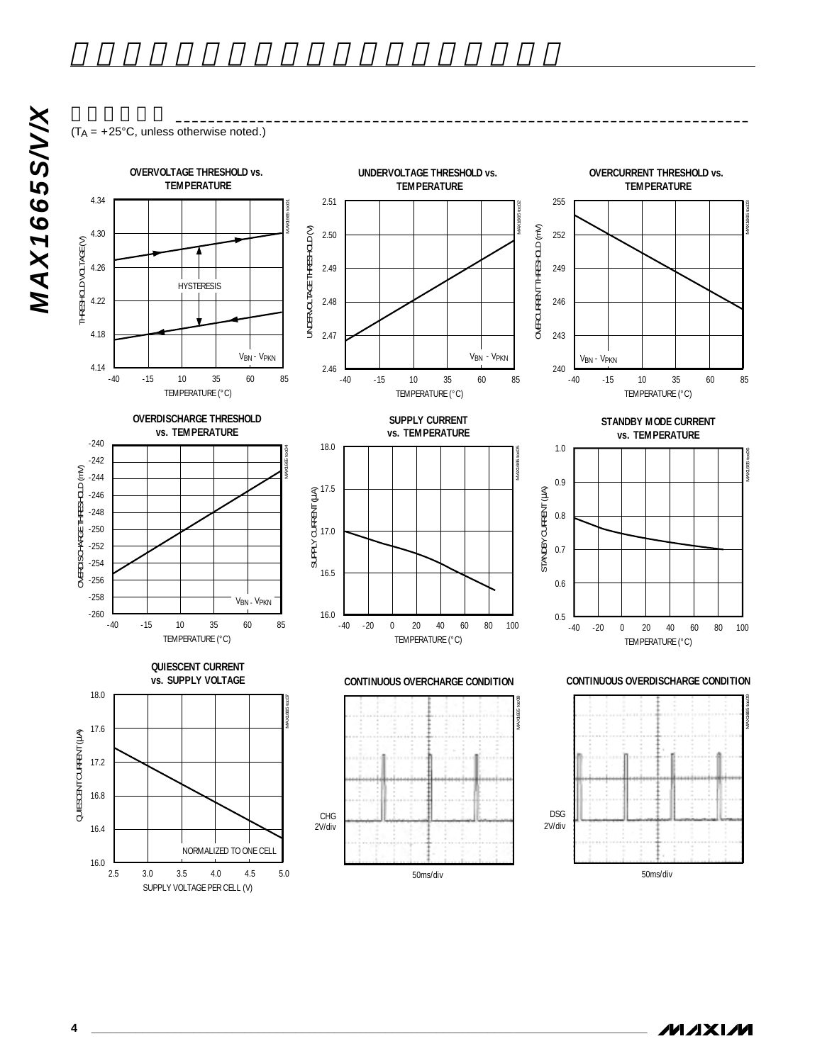$(T_A = +25^{\circ}C,$  unless otherwise noted.)



50ms/div

 $\overline{\phantom{a}}$  . The contract of the contract of the contract of the contract of the contract of the contract of the contract of the contract of the contract of the contract of the contract of the contract of the contract of

50ms/div

16.0

2.5 3.5 3.0 4.0 4.5 5.0

SUPPLY VOLTAGE PER CELL (V)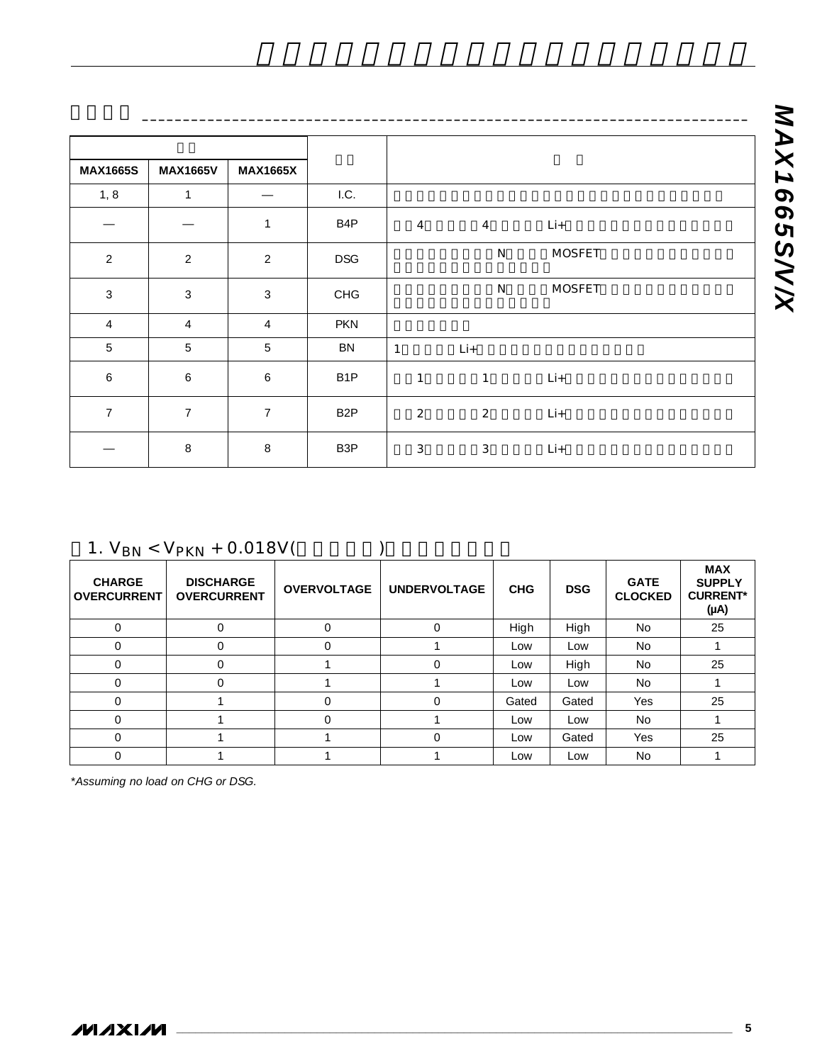| <b>MAX1665S</b> | <b>MAX1665V</b> | <b>MAX1665X</b> |                  |                |                |               |  |
|-----------------|-----------------|-----------------|------------------|----------------|----------------|---------------|--|
| 1, 8            | $\mathbf{1}$    |                 | I.C.             |                |                |               |  |
|                 |                 | $\mathbf{1}$    | B <sub>4</sub> P | $\overline{4}$ | $\overline{4}$ | $Li+$         |  |
| $\overline{2}$  | $\overline{2}$  | 2               | <b>DSG</b>       |                | ${\sf N}$      | <b>MOSFET</b> |  |
| $\mathsf 3$     | $\sqrt{3}$      | $\mathfrak{Z}$  | CHG              |                | ${\sf N}$      | <b>MOSFET</b> |  |
| 4               | 4               | $\overline{4}$  | <b>PKN</b>       |                |                |               |  |
| $\mathbf 5$     | 5               | 5               | <b>BN</b>        | $\mathbf{1}$   | $Li+$          |               |  |
| 6               | 6               | 6               | B <sub>1</sub> P | $\mathbf{1}$   | $\mathbf{1}$   | $Li+$         |  |
| $\overline{7}$  | $\overline{7}$  | $\overline{7}$  | B <sub>2</sub> P | 2              | 2              | $Li+$         |  |
|                 | 8               | 8               | B <sub>3</sub> P | 3              | 3              | $Li+$         |  |

 $\frac{1}{2}$  , and the contract of the contract of the contract of the contract of the contract of the contract of the contract of the contract of the contract of the contract of the contract of the contract of the contract

1.  $V_{BN}$  <  $V_{PKN}$  + 0.018V()

| <b>CHARGE</b><br><b>OVERCURRENT</b> | <b>DISCHARGE</b><br><b>OVERCURRENT</b> | <b>OVERVOLTAGE</b> | <b>UNDERVOLTAGE</b> | <b>CHG</b> | <b>DSG</b> | <b>GATE</b><br><b>CLOCKED</b> | <b>MAX</b><br><b>SUPPLY</b><br><b>CURRENT*</b><br>$(\mu A)$ |
|-------------------------------------|----------------------------------------|--------------------|---------------------|------------|------------|-------------------------------|-------------------------------------------------------------|
|                                     | 0                                      |                    | C                   | High       | High       | <b>No</b>                     | 25                                                          |
|                                     | $\mathbf 0$                            | $\Omega$           |                     | Low        | Low        | <b>No</b>                     |                                                             |
|                                     | 0                                      |                    |                     | Low        | High       | <b>No</b>                     | 25                                                          |
|                                     | $\mathbf 0$                            |                    |                     | Low        | Low        | <b>No</b>                     |                                                             |
|                                     |                                        | $\Omega$           | 0                   | Gated      | Gated      | Yes                           | 25                                                          |
|                                     |                                        | 0                  |                     | Low        | Low        | <b>No</b>                     |                                                             |
|                                     |                                        |                    | 0                   | Low        | Gated      | Yes                           | 25                                                          |
|                                     |                                        |                    |                     | Low        | Low        | No                            |                                                             |

\**Assuming no load on CHG or DSG.*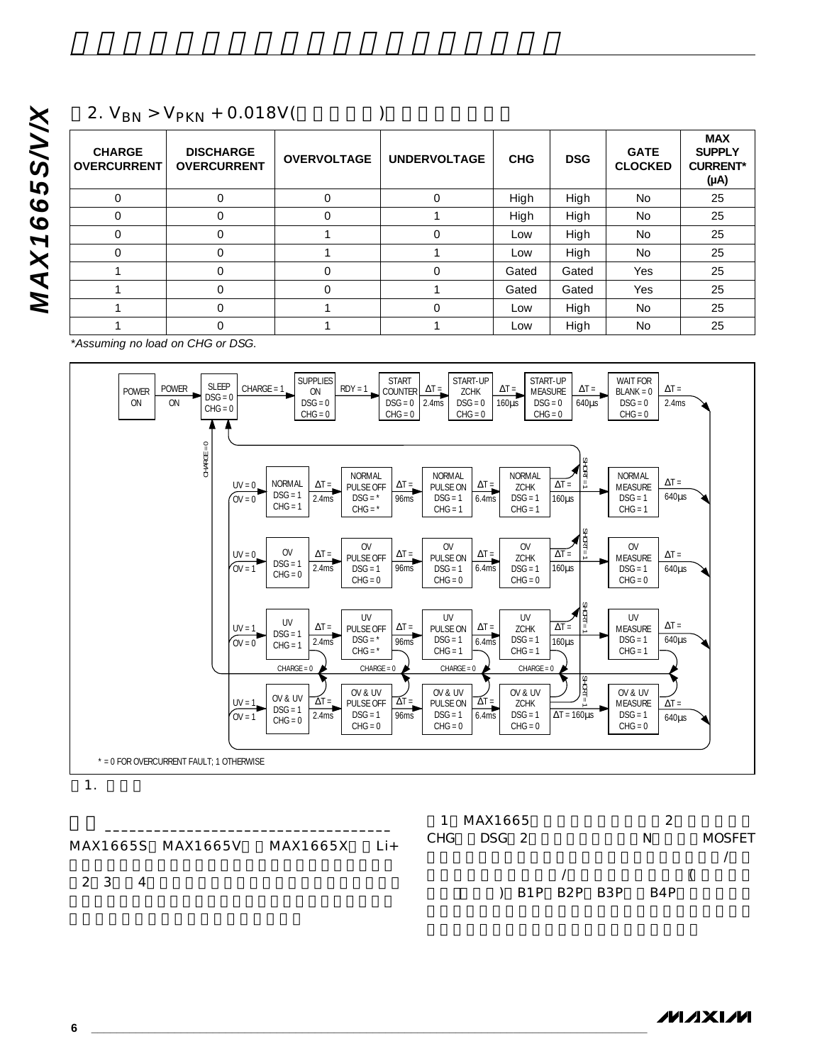### $2. V_{BN} > V_{PKN} + 0.018V($

| <b>CHARGE</b><br><b>OVERCURRENT</b> | 2. $V_{BN}$ > $V_{PKN}$ + 0.018V (<br><b>DISCHARGE</b><br><b>OVERCURRENT</b> | <b>OVERVOLTAGE</b> | <b>UNDERVOLTAGE</b> | <b>CHG</b> | <b>DSG</b> | <b>GATE</b><br><b>CLOCKED</b> | <b>MAX</b><br><b>SUPPLY</b><br><b>CURRENT*</b><br>$(\mu A)$ |
|-------------------------------------|------------------------------------------------------------------------------|--------------------|---------------------|------------|------------|-------------------------------|-------------------------------------------------------------|
| $\Omega$                            | $\Omega$                                                                     | $\Omega$           | $\Omega$            | High       | High       | <b>No</b>                     | 25                                                          |
| $\Omega$                            | $\Omega$                                                                     | $\Omega$           |                     | High       | High       | No.                           | 25                                                          |
| $\mathbf{O}$                        | $\Omega$                                                                     |                    | $\Omega$            | Low        | High       | No.                           | 25                                                          |
| $\Omega$                            | $\Omega$                                                                     |                    |                     | Low        | High       | No.                           | 25                                                          |
|                                     | $\Omega$                                                                     | $\mathbf 0$        | $\Omega$            | Gated      | Gated      | <b>Yes</b>                    | 25                                                          |
|                                     | $\Omega$                                                                     | $\overline{0}$     |                     | Gated      | Gated      | Yes                           | 25                                                          |
|                                     | $\Omega$                                                                     | и                  | $\Omega$            | Low        | High       | No.                           | 25                                                          |
|                                     | $\overline{0}$                                                               |                    |                     | Low        | High       | No                            | 25                                                          |

\**Assuming no load on CHG or DSG.*



|       |                   |              |     | MAX1665 |             |  |     |               |
|-------|-------------------|--------------|-----|---------|-------------|--|-----|---------------|
|       | MAX1665S MAX1665V | MAX1665X Li+ | CHG | DSG 2   |             |  | N   | <b>MOSFET</b> |
| 2 3 4 |                   |              |     |         | B1P B2P B3P |  | B4P |               |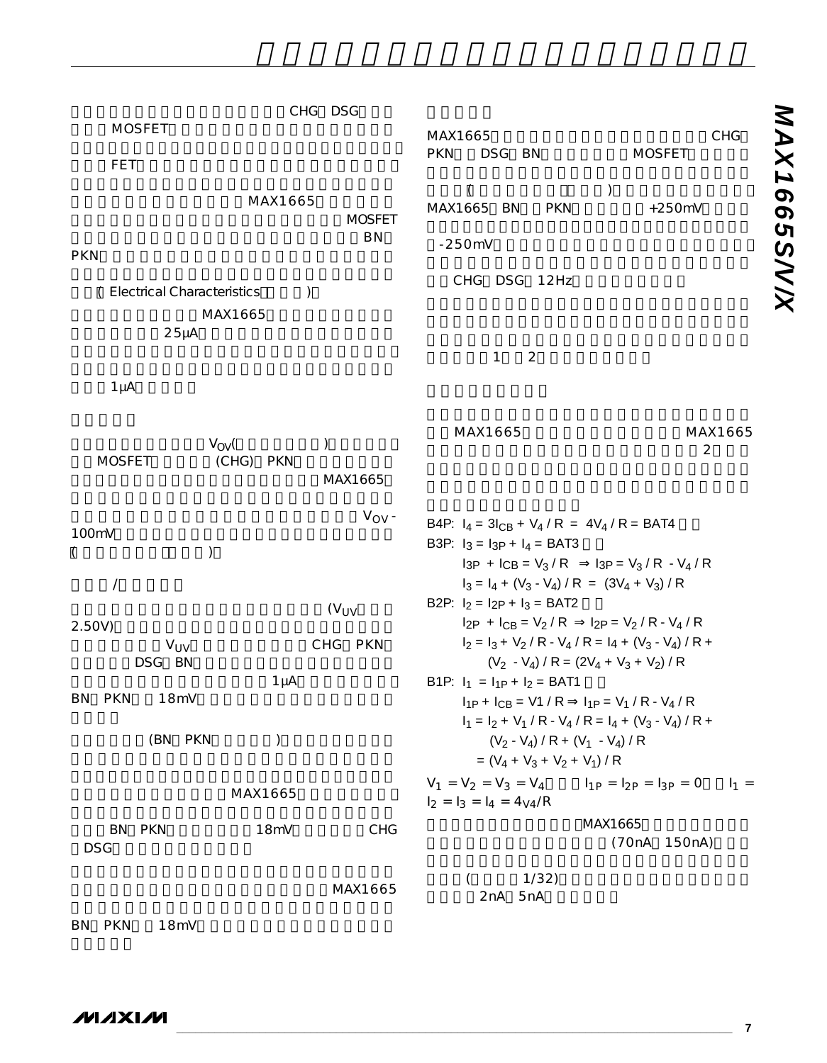|                                 | CHG DSG                                               |                            |                                                                   |                                                                 |
|---------------------------------|-------------------------------------------------------|----------------------------|-------------------------------------------------------------------|-----------------------------------------------------------------|
| <b>MOSFET</b>                   |                                                       |                            | MAX1665                                                           | CHG                                                             |
| <b>FET</b>                      |                                                       |                            | <b>PKN</b><br>DSG BN                                              | <b>MOSFET</b>                                                   |
|                                 |                                                       |                            |                                                                   | $\mathcal{E}$                                                   |
|                                 | MAX1665                                               |                            | MAX1665<br><b>BN</b><br><b>PKN</b>                                | $+250mV$                                                        |
|                                 |                                                       | <b>MOSFET</b><br><b>BN</b> |                                                                   |                                                                 |
| <b>PKN</b>                      |                                                       |                            | $-250mV$                                                          |                                                                 |
| (Electrical Characteristics     | )                                                     |                            | DSG<br>CHG<br>12Hz                                                |                                                                 |
|                                 | MAX1665                                               |                            |                                                                   |                                                                 |
| $25\mu A$                       |                                                       |                            |                                                                   |                                                                 |
|                                 |                                                       |                            | $\mathbf{1}$<br>$\overline{2}$                                    |                                                                 |
| $1 \mu A$                       |                                                       |                            |                                                                   |                                                                 |
|                                 |                                                       |                            |                                                                   |                                                                 |
|                                 |                                                       |                            | MAX1665                                                           | MAX1665                                                         |
| <b>MOSFET</b>                   | $V_{\rm OV}($<br>$\mathcal{C}$<br>(CHG)<br><b>PKN</b> |                            |                                                                   | $\overline{2}$                                                  |
|                                 |                                                       | MAX1665                    |                                                                   |                                                                 |
|                                 |                                                       |                            |                                                                   |                                                                 |
| 100 <sub>m</sub>                |                                                       | $V_{OV}$ -                 | B4P: $I_4 = 3I_{CB} + V_4 / R = 4V_4 / R = BAT4$                  |                                                                 |
| $\mathcal{E}$<br>$\overline{C}$ |                                                       |                            | B3P: $I_3 = I_3P + I_4 = BAT3$                                    |                                                                 |
|                                 |                                                       |                            | $I_3 = I_4 + (V_3 - V_4) / R = (3V_4 + V_3) / R$                  | $13P + ICB = V_3 / R \implies 13P = V_3 / R - V_4 / R$          |
| $\prime$                        |                                                       |                            | B2P: $I_2 = I_2P + I_3 = BAT2$                                    |                                                                 |
| 2.50V                           |                                                       | $(V_{UV}$                  |                                                                   | $I_{2P} + I_{CB} = V_2 / R \implies I_{2P} = V_2 / R - V_4 / R$ |
| V <sub>UV</sub>                 |                                                       | CHG PKN                    |                                                                   | $I_2 = I_3 + V_2 / R - V_4 / R = I_4 + (V_3 - V_4) / R +$       |
| DSG BN                          |                                                       |                            |                                                                   | $(V_2 - V_4) / R = (2V_4 + V_3 + V_2) / R$                      |
| <b>PKN</b><br>18mV<br>ΒN        | $1 \mu A$                                             |                            | B1P: $I_1 = I_{1P} + I_2 = BAT1$                                  |                                                                 |
|                                 |                                                       |                            | $I_{1P} + I_{CB} = VI / R \Rightarrow I_{1P} = V_1 / R - V_4 / R$ | $I_1 = I_2 + V_1 / R - V_4 / R = I_4 + (V_3 - V_4) / R +$       |
| (BN PKN                         | $\mathcal{E}$                                         |                            | $(V_2 - V_4) / R + (V_1 - V_4) / R$                               |                                                                 |
|                                 |                                                       |                            | = $(V_4 + V_3 + V_2 + V_1) / R$                                   |                                                                 |
|                                 | MAX1665                                               |                            | $I_2 = I_3 = I_4 = 4V_4/R$                                        | $V_1 = V_2 = V_3 = V_4$ $I_{1P} = I_{2P} = I_{3P} = 0$ $I_1 =$  |
| BN PKN<br><b>DSG</b>            | 18 <sub>m</sub> V                                     | CHG                        |                                                                   | MAX1665<br>(70nA)<br>150nA)                                     |
|                                 |                                                       | MAX1665                    | 1/32)<br>5nA<br>2nA                                               |                                                                 |

BN PKN 18mV

*MAX1665S/V/X*

MAX1665S/V/X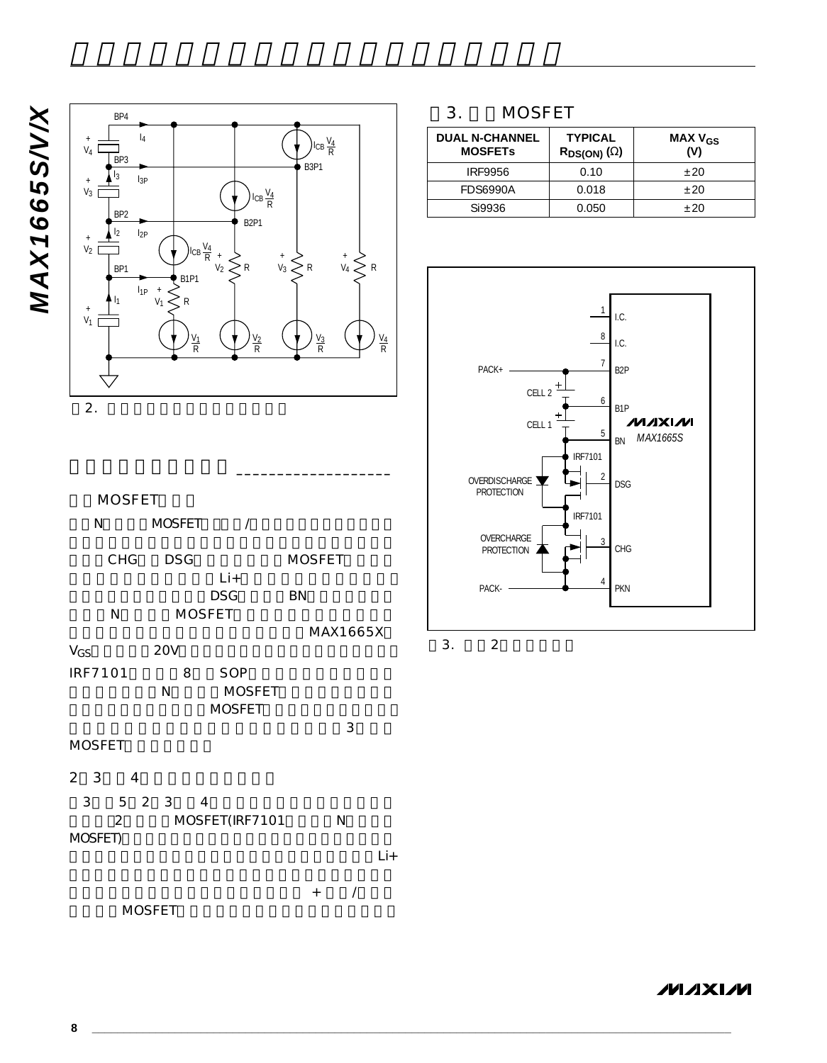

アプリケーション情報 \_\_\_\_\_\_\_\_\_\_\_\_\_\_\_\_\_\_\_ **MOSFET** N MOSFET / CHG DSG MOSFET  $Li+$ and DSG BN N MOSFET MAX1665X  $V_{GS}$  20V IRF7101 8 SOP N MOSFET MOSFET  $\overline{\mathbf{3}}$ MOSFET

#### 2、3及び4セルアプリケーション

3 5 2 3 4 2 MOSFET(IRF7101 N MOSFET)

 $+$   $/$ MOSFET

 $Li+$ 

#### 3. MOSFET

| <b>DUAL N-CHANNEL</b><br><b>MOSFETS</b> | <b>TYPICAL</b><br>$RDS(ON)$ ( $\Omega$ ) | MAX $V_{GS}$<br>M |
|-----------------------------------------|------------------------------------------|-------------------|
| <b>IRF9956</b>                          | 0.10                                     | $+20$             |
| <b>FDS6990A</b>                         | 0.018                                    | $+20$             |
| Si9936                                  | 0.050                                    | $+20$             |



 $3. 2$ 

**MAXIM** 

**8 \_\_\_\_\_\_\_\_\_\_\_\_\_\_\_\_\_\_\_\_\_\_\_\_\_\_\_\_\_\_\_\_\_\_\_\_\_\_\_\_\_\_\_\_\_\_\_\_\_\_\_\_\_\_\_\_\_\_\_\_\_\_\_\_\_\_\_\_\_\_\_\_\_\_\_\_\_\_\_\_\_\_\_\_\_\_\_\_\_\_\_\_\_\_\_\_\_\_\_\_**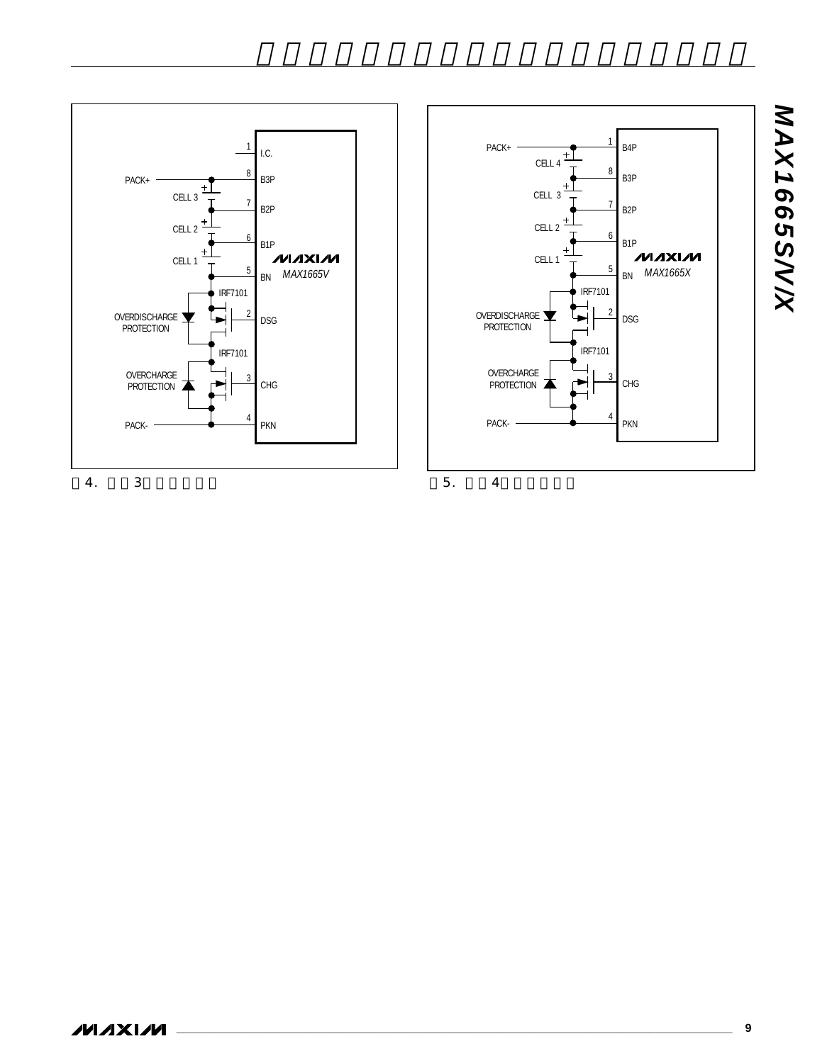





 $5. 4$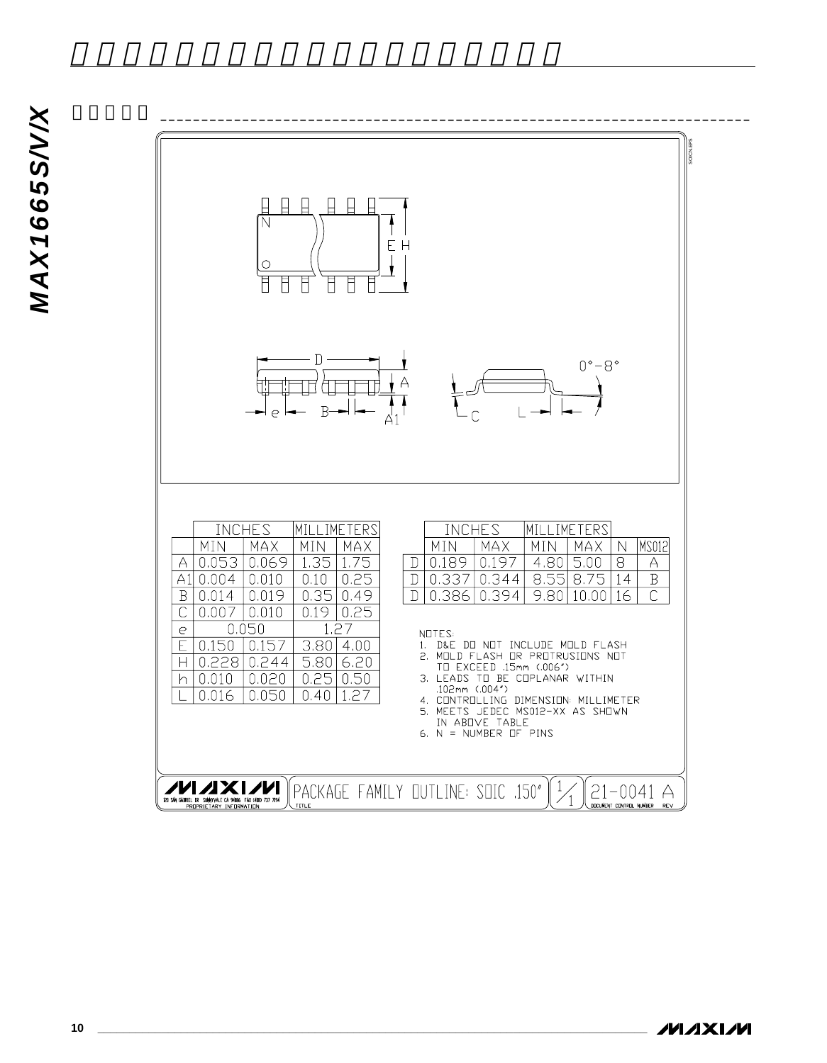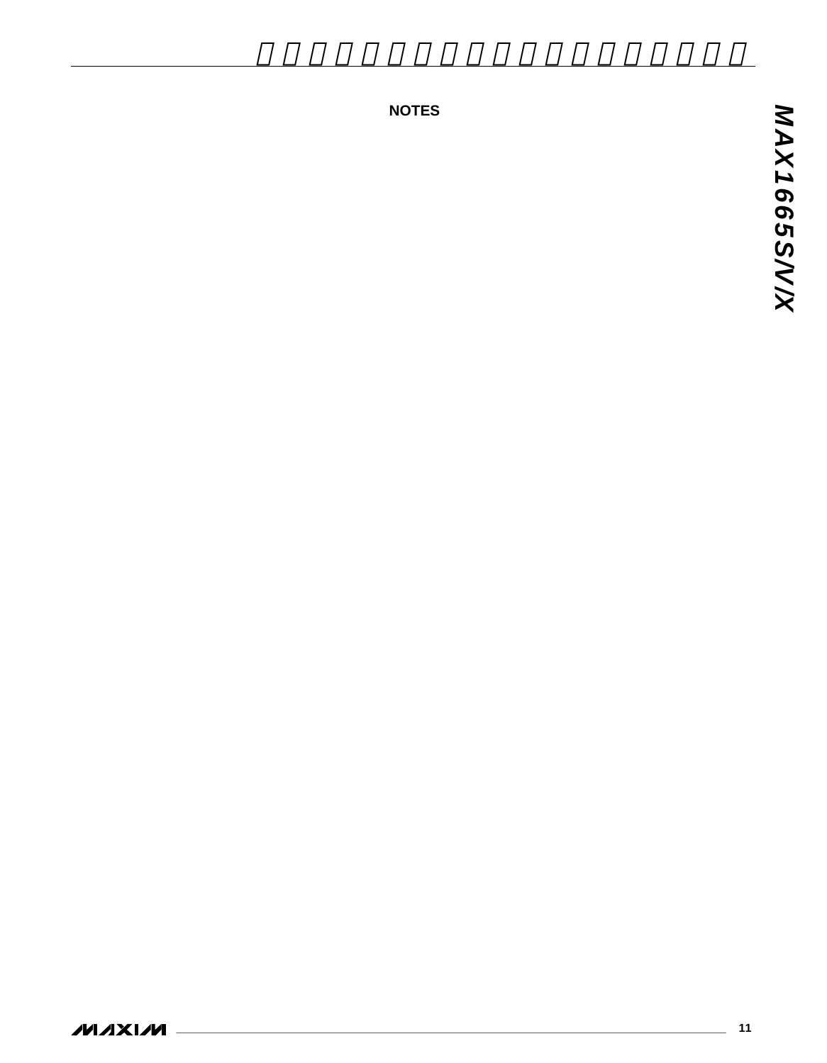**NOTES**